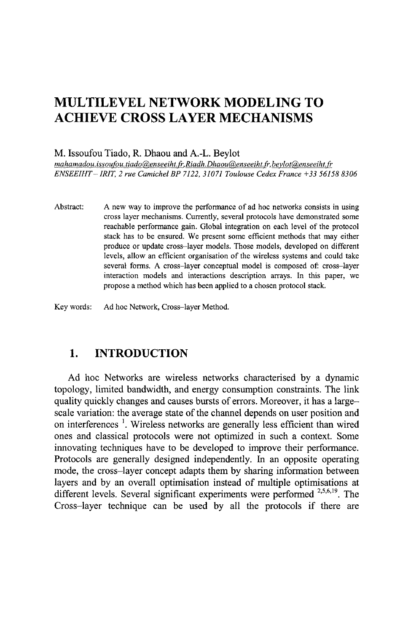# **MULTILEVEL NETWORK MODELING TO ACHIEVE CROSS LAYER MECHANISMS**

#### M. Issoufou Tiado, R. Dhaou and A.-L. Beylot

*mahumudou.issoufou. tiudo@enseeilzt. fr,Riudh.Dhaou@,enseeiht. fr, bevlot@enseeiht. fr ENSEEZHT- IRIT, 2 rue Camichel BP 7122,31071 Toulouse Cedex France +33 56158 8306* 

Abstract: A new way to improve the performance of ad hoc networks consists in using cross layer mechanisms. Currently, several protocols have demonstrated some reachable performance gain. Global integration on each level of the protocol stack has to be ensured. We present some efficient methods that may either produce or update cross-layer models. Those models, developed on different levels, allow an efficient organisation of the wireless systems and could take several forms. A cross-layer conceptual model is composed of: cross-layer interaction models and interactions description arrays. In this paper, we propose a method which has been applied to a chosen protocol stack.

Key words: Ad hoc Network, Cross-layer Method.

# **1. INTRODUCTION**

Ad hoc Networks are wireless networks characterised by a dynamic topology, limited bandwidth, and energy consumption constraints. The link quality quickly changes and causes bursts of errors. Moreover, it has a largescale variation: the average state of the channel depends on user position and on interferences '. Wireless networks are generally less efficient than wired ones and classical protocols were not optimized in such a context. Some innovating techniques have to be developed to improve their performance. Protocols are generally designed independently. In an opposite operating mode, the cross-layer concept adapts them by sharing information between layers and by an overall optimisation instead of multiple optimisations at different levels. Several significant experiments were performed **2,5,6,'9.** The Cross-layer technique can be used by all the protocols if there are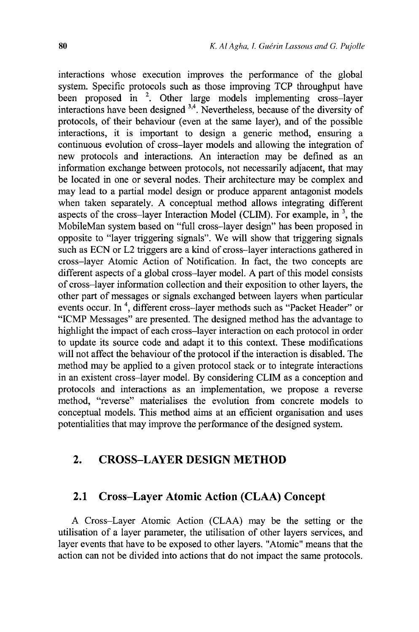interactions whose execution improves the performance of the global system. Specific protocols such as those improving TCP throughput have been proposed in <sup>2</sup>. Other large models implementing cross-layer interactions have been designed <sup>3,4</sup>. Nevertheless, because of the diversity of protocols, of their behaviour (even at the same layer), and of the possible interactions, it is important to design a generic method, ensuring a continuous evolution of cross-layer models and allowing the integration of new protocols and interactions. An interaction may be defined as an information exchange between protocols, not necessarily adjacent, that may be located in one or several nodes. Their architecture may be complex and may lead to a partial model design or produce apparent antagonist models when taken separately. A conceptual method allows integrating different aspects of the cross-layer Interaction Model (CLIM). For example, in **3,** the MobileMan system based on "full cross-layer design" has been proposed in opposite to "layer triggering signals". We will show that triggering signals such as ECN or L2 triggers are a kind of cross-layer interactions gathered in cross-layer Atomic Action of Notification. In fact, the two concepts are different aspects of a global cross-layer model. A part of this model consists of cross-layer information collection and their exposition to other layers, the other part of messages or signals exchanged between layers when particular events occur. In<sup>4</sup>, different cross-layer methods such as "Packet Header" or "ICMP Messages" are presented. The designed method has the advantage to highlight the impact of each cross-layer interaction on each protocol in order to update its source code and adapt it to this context. These modifications will not affect the behaviour of the protocol if the interaction is disabled. The method may be applied to a given protocol stack or to integrate interactions in an existent cross-layer model. By considering CLIM as a conception and protocols and interactions as an implementation, we propose a reverse method, "reverse" materialises the evolution from concrete models to conceptual models. This method aims at an efficient organisation and uses potentialities that may improve the performance of the designed system.

# **2. CROSS-LAYER DESIGN METHOD**

### **2.1 Cross-Layer Atomic Action (CLAA) Concept**

A Cross-Layer Atomic Action (CLAA) may be the setting or the utilisation of a layer parameter, the utilisation of other layers services, and layer events that have to be exposed to other layers. "Atomic" means that the action can not be divided into actions that do not impact the same protocols.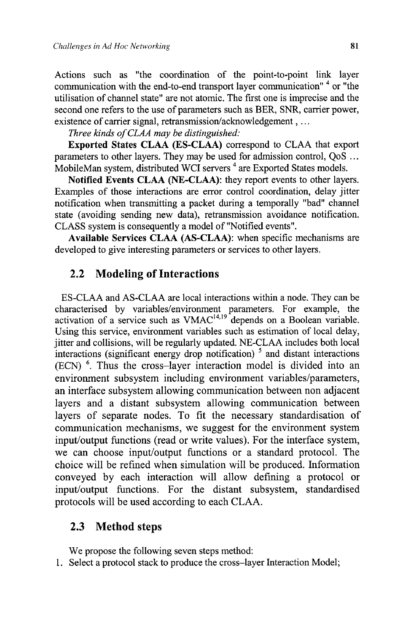Actions such as "the coordination of the point-to-point link layer communication with the end-to-end transport layer communication"  $4$  or "the utilisation of channel state" are not atomic. The first one is imprecise and the second one refers to the use of parameters such as BER, SNR, carrier power, existence of carrier signal, retransmission/acknowledgement, ...

*Three kinds of CLAA may be distinguished:* 

Exported States CLAA (ES-CLAA) correspond to CLAA that export parameters to other layers. They may be used for admission control, QoS ... MobileMan system, distributed WCI servers<sup>4</sup> are Exported States models.

Notified Events CLAA (NE-CLAA): they report events to other layers. Examples of those interactions are error control coordination, delay jitter notification when transmitting a packet during a temporally "bad" channel state (avoiding sending new data), retransmission avoidance notification. CLASS system is consequently a model of "Notified events".

Available Services CLAA (AS-CLAA): when specific mechanisms are developed to give interesting parameters or services to other layers.

# **2.2 Modeling of Interactions**

ES-CLAA and AS-CLAA are local interactions within a node. They can be characterised by variables/environment parameters. For example, the activation of a service such as  $VMAC^{14,19}$  depends on a Boolean variable. Using this service, environment variables such as estimation of local delay, jitter and collisions, will be regularly updated. NE-CLAA includes both local interactions (significant energy drop notification)<sup>5</sup> and distant interactions (ECN) **6.** Thus the cross-layer interaction model is divided into an environment subsystem including environment variables/parameters, an interface subsystem allowing communication between non adjacent layers and a distant subsystem allowing communication between layers of separate nodes. To fit the necessary standardisation of communication mechanisms, we suggest for the environment system input/output functions (read or write values). For the interface system, we can choose input/output functions or a standard protocol. The choice will be refined when simulation will be produced. Information conveyed by each interaction will allow defining a protocol or input/output functions. For the distant subsystem, standardised protocols will be used according to each CLAA.

### **2.3 Method steps**

We propose the following seven steps method:

1. Select a protocol stack to produce the cross-layer Interaction Model;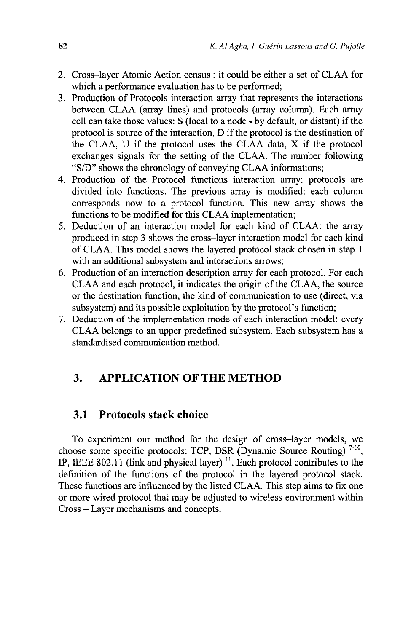- 2. Cross-layer Atomic Action census : it could be either a set of CLAA for which a performance evaluation has to be performed;
- **3.** Production of Protocols interaction array that represents the interactions between CLAA (array lines) and protocols (array column). Each array cell can take those values: S (local to a node - by default, or distant) if the protocol is source of the interaction, D if the protocol is the destination of the CLAA, U if the protocol uses the CLAA data, X if the protocol exchanges signals for the setting of the CLAA. The number following "S/D" shows the chronology of conveying CLAA informations;
- 4. Production of the Protocol functions interaction array: protocols are divided into functions. The previous array is modified: each column corresponds now to a protocol function. This new array shows the functions to be modified for this CLAA implementation;
- 5. Deduction of an interaction model for each kind of CLAA: the array produced in step **3** shows the cross-layer interaction model for each kind of CLAA. This model shows the layered protocol stack chosen in step 1 with an additional subsystem and interactions arrows;
- 6. Production of an interaction description array for each protocol. For each CLAA and each protocol, it indicates the origin of the CLAA, the source or the destination function, the kind of communication to use (direct, via subsystem) and its possible exploitation by the protocol's function;
- 7. Deduction of the implementation mode of each interaction model: every CLAA belongs to an upper predefined subsystem. Each subsystem has a standardised communication method.

# **3. APPLICATION OF THE METHOD**

### **3.1 Protocols stack choice**

To experiment our method for the design of cross-layer models, we choose some specific protocols: TCP, DSR (Dynamic Source Routing)  $7-10$ , IP, IEEE 802.11 (link and physical layer)  $^{11}$ . Each protocol contributes to the definition of the functions of the protocol in the layered protocol stack. These functions are influenced by the listed CLAA. This step aims to fix one or more wired protocol that may be adjusted to wireless environment within Cross - Layer mechanisms and concepts.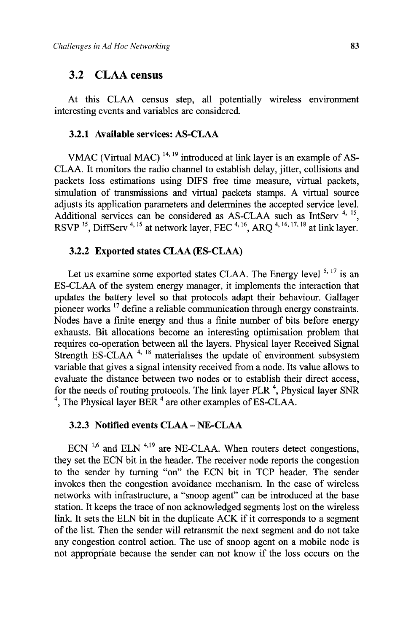#### **3.2 CLAA census**

At this CLAA census step, all potentially wireless environment interesting events and variables are considered.

#### **3.2.1 Available services: AS-CLAA**

VMAC (Virtual MAC)<sup>14, 19</sup> introduced at link layer is an example of AS-CLAA. It monitors the radio channel to establish delay, jitter, collisions and packets loss estimations using DIFS free time measure, virtual packets, simulation of transmissions and virtual packets stamps. **A** virtual source adjusts its application parameters and determines the accepted service level. Additional services can be considered as AS-CLAA such as IntServ<sup>4, 15</sup>, RSVP<sup>15</sup>, DiffServ<sup>4, 15</sup> at network layer, FEC<sup>4, 16</sup>, ARQ<sup>4, 16, 17, 18</sup> at link layer.

#### **3.2.2 Exported states CLAA (ES-CLAA)**

Let us examine some exported states CLAA. The Energy level <sup>5, 17</sup> is an ES-CLAA of the system energy manager, it implements the interaction that updates the battery level so that protocols adapt their behaviour. Gallager pioneer works <sup>17</sup> define a reliable communication through energy constraints. Nodes have a finite energy and thus a finite number of bits before energy exhausts. Bit allocations become an interesting optimisation problem that requires co-operation between all the layers. Physical layer Received Signal Strength ES-CLAA  $4, 18$  materialises the update of environment subsystem variable that gives a signal intensity received from a node. Its value allows to evaluate the distance between two nodes or to establish their direct access, for the needs of routing protocols. The link layer PLR<sup>4</sup>, Physical layer SNR  $4$ , The Physical layer BER<sup>4</sup> are other examples of ES-CLAA.

#### **3.2.3 Notified events CLAA** - **NE-CLAA**

ECN  $^{1,6}$  and ELN  $^{4,19}$  are NE-CLAA. When routers detect congestions, they set the ECN bit in the header. The receiver node reports the congestion to the sender by turning "on" the ECN bit in TCP header. The sender invokes then the congestion avoidance mechanism. In the case of wireless networks with infrastructure, a "snoop agent" can be introduced at the base station. It keeps the trace of non acknowledged segments lost on the wireless link. It sets the ELN bit in the duplicate ACK if it corresponds to a segment of the list. Then the sender will retransmit the next segment and do not take any congestion control action. The use of snoop agent on a mobile node is not appropriate because the sender can not know if the loss occurs on the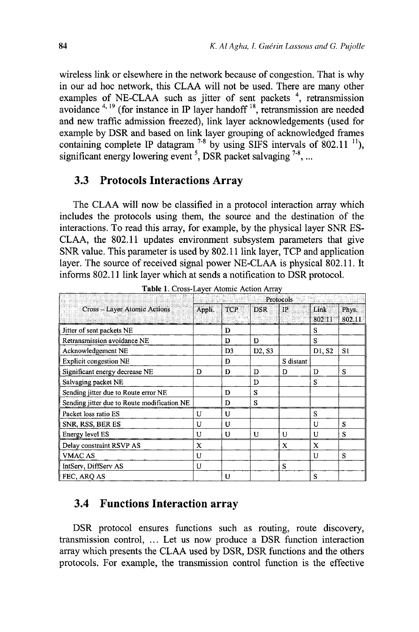wireless link or elsewhere in the network because of congestion. That is why in our ad hoc network, this CLAA will not be used. There are many other examples of NE-CLAA such as jitter of sent packets **4,** retransmission avoidance **4'** l9 (for instance in IP layer handoff **18,** retransmission are needed and new traffic admission freezed), link layer acknowledgements (used for example by DSR and based on link layer grouping of acknowledged frames containing complete IP datagram  $7-8$  by using SIFS intervals of 802.11<sup>11</sup>), significant energy lowering event <sup>5</sup>, DSR packet salvaging <sup>7-8</sup>, ...

### **3.3 Protocols Interactions Array**

The CLAA will now be classified in a protocol interaction array which includes the protocols using them, the source and the destination of the interactions. To read this array, for example, by the physical layer SNR ES-CLAA, the 802.11 updates environment subsystem parameters that give SNR value. This parameter is used by 802.11 link layer, TCP and application layer. The source of received signal power NE-CLAA is physical 802.1 1. It informs 802.1 1 link layer which at sends a notification to DSR protocol.

|                                             | Protocols |                |                                 |           |                |                 |  |  |
|---------------------------------------------|-----------|----------------|---------------------------------|-----------|----------------|-----------------|--|--|
| Cross - Layer Atomic Actions                | Appli.    | <b>TCP</b>     | <b>DSR</b>                      | IP        | Link<br>802.11 | Phys.<br>802.11 |  |  |
| Jitter of sent packets NE                   |           | D              |                                 |           | S              |                 |  |  |
| Retransmission avoidance NE                 |           | D              | D                               |           | S              |                 |  |  |
| Acknowledgement NE                          |           | D <sub>3</sub> | D <sub>2</sub> , S <sub>3</sub> |           | D1, S2         | S1              |  |  |
| <b>Explicit congestion NE</b>               |           | D              |                                 | S distant |                |                 |  |  |
| Significant energy decrease NE              | D         | D              | D                               | Ð         | D              | s               |  |  |
| Salvaging packet NE                         |           |                | D                               |           | S              |                 |  |  |
| Sending jitter due to Route error NE        |           | D              | s                               |           |                |                 |  |  |
| Sending jitter due to Route modification NE |           | D              | S                               |           |                |                 |  |  |
| Packet loss ratio ES                        | U         | U              |                                 |           | S              |                 |  |  |
| SNR, RSS, BER ES                            | U         | U              |                                 |           | U              | s               |  |  |
| Energy level ES                             | U         | U              | U                               | U         | U              | s               |  |  |
| Delay constraint RSVP AS                    | x         |                |                                 | X         | x              |                 |  |  |
| <b>VMAC AS</b>                              | U         |                |                                 |           | U              | s               |  |  |
| IntServ, DiffServ AS                        | U         |                |                                 | S         |                |                 |  |  |
| FEC, ARQ AS                                 |           | U              |                                 |           | S              |                 |  |  |

Table 1. Cross-Laver Atomic Action Array

## **3.4 Functions Interaction array**

DSR protocol ensures functions such as routing, route discovery, transmission control, ... Let us now produce a DSR function interaction array which presents the CLAA used by DSR, DSR functions and the others protocols. For example, the transmission control function is the effective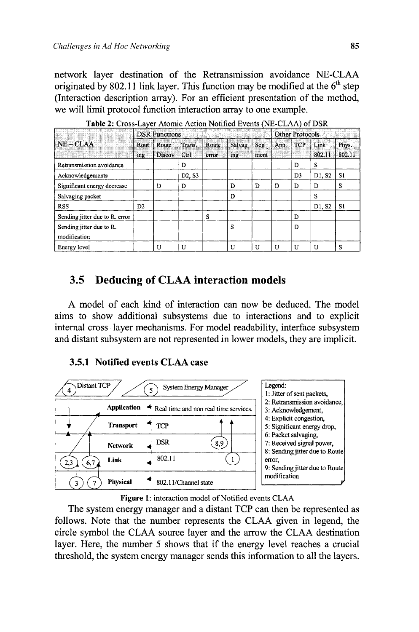network layer destination of the Retransmission avoidance NE-CLAA originated by 802.11 link layer. This function may be modified at the  $6<sup>th</sup>$  step (Interaction description array). For an efficient presentation of the method, we will limit protocol function interaction array to one example.

|                                | <b>DSR Functions</b> |        |                                 |       |        | <b>Other Protocols</b> |      |                |                                 |        |
|--------------------------------|----------------------|--------|---------------------------------|-------|--------|------------------------|------|----------------|---------------------------------|--------|
| $NE-CLAA$                      | Rout                 | Route  | Trans.                          | Route | Salvag | Seg                    | App. | <b>TCP</b>     | Link                            | Phys.  |
|                                | ing                  | Discov | $cri$                           | error | ing    | ment                   |      |                | 802.11                          | 802.11 |
| Retransmission avoidance       |                      |        | D                               |       |        |                        |      | D              | s                               |        |
| Acknowledgements               |                      |        | D <sub>2</sub> . S <sub>3</sub> |       |        |                        |      | D <sub>3</sub> | D1, S2                          | S1     |
| Significant energy decrease    |                      | Ð      | D                               |       | D      | D                      | D    | D              | D                               | s      |
| Salvaging packet               |                      |        |                                 |       | D      |                        |      |                | s                               |        |
| <b>RSS</b>                     | D <sub>2</sub>       |        |                                 |       |        |                        |      |                | D <sub>1</sub> , S <sub>2</sub> | S1     |
| Sending jitter due to R. error |                      |        |                                 | S     |        |                        |      | D              |                                 |        |
| Sending jitter due to R.       |                      |        |                                 |       | S      |                        |      | D              |                                 |        |
| modification                   |                      |        |                                 |       |        |                        |      |                |                                 |        |
| Energy level                   |                      | U      | U                               |       | U      | Ħ                      | IJ   | U              | Ħ                               | S      |

**Tahle 2: Cross-Laver Atomic Action Notified Events (NE-CLAA) of DSR** 

### **3.5 Deducing of CLAA interaction models**

A model of each kind of interaction can now be deduced. The model aims to show additional subsystems due to interactions and to explicit internal cross-layer mechanisms. For model readability, interface subsystem and distant subsystem are not represented in lower models, they are implicit.

#### **3.5.1 Notified events CLAA case**



**Figure 1: interaction model of Notified events CLAA** 

The system energy manager and a distant TCP can then be represented as follows. Note that the number represents the CLAA given in legend, the circle symbol the CLAA source layer and the arrow the CLAA destination layer. Here, the number 5 shows that if the energy level reaches a crucial threshold, the system energy manager sends this information to all the layers.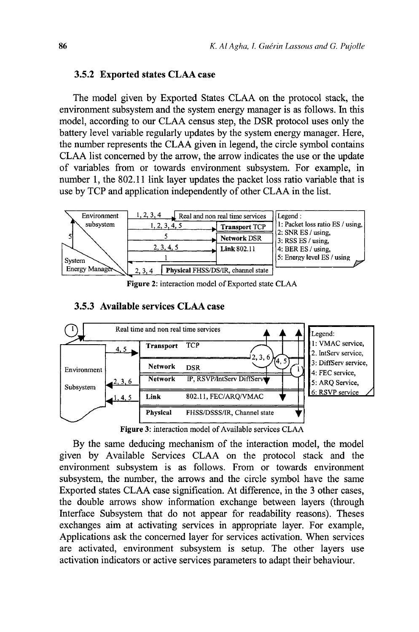#### **3.5.2 Exported states CLAA case**

The model given by Exported States CLAA on the protocol stack, the environment subsystem and the system energy manager is as follows. In this model, according to our CLAA census step, the DSR protocol uses only the battery level variable regularly updates by the system energy manager. Here, the number represents the CLAA given in legend, the circle symbol contains CLAA list concerned by the arrow, the arrow indicates the use or the update of variables from or towards environment subsystem. For example, in number 1, the 802.11 link layer updates the packet loss ratio variable that is use by TCP and application independently of other CLAA in the list.



**Figure 2:** interaction model of Exported state CLAA



#### **3.5.3 Available services CLAA case**

**Figure 3:** interaction model of Available services CLAA

By the same deducing mechanism of the interaction model, the model given by Available Services CLAA on the protocol stack and the environment subsystem is as follows. From or towards environment subsystem, the number, the arrows and the circle symbol have the same Exported states CLAA case signification. At difference, in the **3** other cases, the double arrows show information exchange between layers (through Interface Subsystem that do not appear for readability reasons). Theses exchanges aim at activating services in appropriate layer. For example, Applications ask the concerned layer for services activation. When services are activated, environment subsystem is setup. The other layers use activation indicators or active services parameters to adapt their behaviour.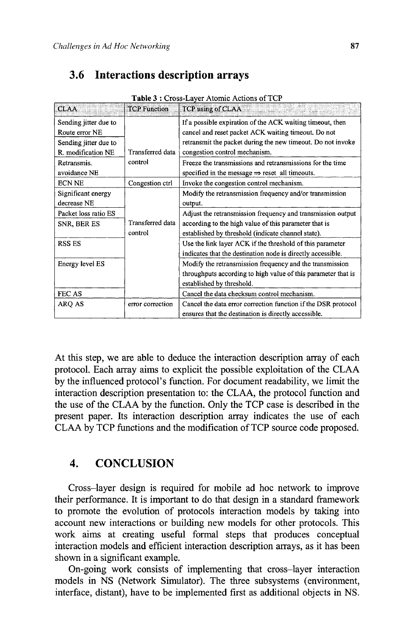### **3.6 Interactions description arrays**

| <b>CLAA</b>           | <b>TCP Function</b> | TCP using of CLAA                                             |
|-----------------------|---------------------|---------------------------------------------------------------|
| Sending jitter due to |                     | If a possible expiration of the ACK waiting timeout, then     |
| Route error NE        |                     | cancel and reset packet ACK waiting timeout. Do not           |
| Sending jitter due to |                     | retransmit the packet during the new timeout. Do not invoke   |
| R. modification NE    | Transferred data    | congestion control mechanism.                                 |
| Retransmis.           | control             | Freeze the transmissions and retransmissions for the time     |
| avoidance NE          |                     | specified in the message $\Rightarrow$ reset all timeouts.    |
| <b>ECN NE</b>         | Congestion ctrl     | Invoke the congestion control mechanism.                      |
| Significant energy    |                     | Modify the retransmission frequency and/or transmission       |
| decrease NE           |                     | output.                                                       |
| Packet loss ratio ES  |                     | Adjust the retransmission frequency and transmission output   |
| SNR, BER ES           | Transferred data    | according to the high value of this parameter that is         |
|                       | control             | established by threshold (indicate channel state).            |
| <b>RSS ES</b>         |                     | Use the link layer ACK if the threshold of this parameter     |
|                       |                     | indicates that the destination node is directly accessible.   |
| Energy level ES       |                     | Modify the retransmission frequency and the transmission      |
|                       |                     | throughputs according to high value of this parameter that is |
|                       |                     | established by threshold.                                     |
| FEC AS                |                     | Cancel the data checksum control mechanism.                   |
| ARQ AS                | error correction    | Cancel the data error correction function if the DSR protocol |
|                       |                     | ensures that the destination is directly accessible.          |

Table 3 : Cross-Laver Atomic Actions of TCP

At this step, we are able to deduce the interaction description array of each protocol. Each array aims to explicit the possible exploitation of the CLAA by the influenced protocol's function. For document readability, we limit the interaction description presentation to: the CLAA, the protocol function and the use of the CLAA by the function. Only the TCP case is described in the present paper. Its interaction description array indicates the use of each CLAA by TCP functions and the modification of TCP source code proposed.

# **4. CONCLUSION**

Cross-layer design is required for mobile ad hoc network to improve their performance. It is important to do that design in a standard framework to promote the evolution of protocols interaction models by taking into account new interactions or building new models for other protocols. This work aims at creating useful formal steps that produces conceptual interaction models and efficient interaction description arrays, as it has been shown in a significant example.

On-going work consists of implementing that cross-layer interaction models in NS (Network Simulator). The three subsystems (environment, interface, distant), have to be implemented first as additional objects in NS.